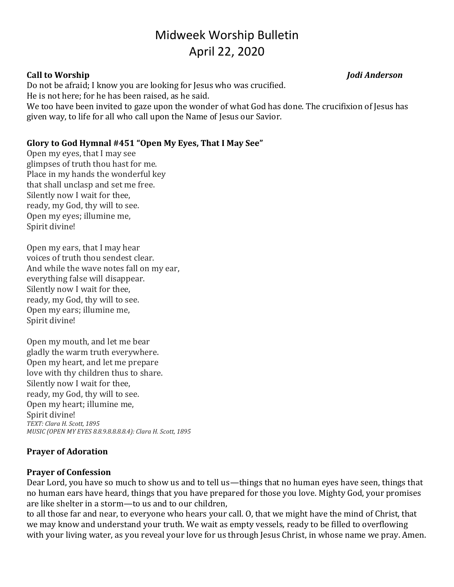# Midweek Worship Bulletin April 22, 2020

#### **Call to Worship** *Jodi Anderson*

Do not be afraid; I know you are looking for Jesus who was crucified.

He is not here; for he has been raised, as he said.

We too have been invited to gaze upon the wonder of what God has done. The crucifixion of Jesus has given way, to life for all who call upon the Name of Jesus our Savior.

# **Glory to God Hymnal #451 "Open My Eyes, That I May See"**

Open my eyes, that I may see glimpses of truth thou hast for me. Place in my hands the wonderful key that shall unclasp and set me free. Silently now I wait for thee, ready, my God, thy will to see. Open my eyes; illumine me, Spirit divine!

Open my ears, that I may hear voices of truth thou sendest clear. And while the wave notes fall on my ear, everything false will disappear. Silently now I wait for thee, ready, my God, thy will to see. Open my ears; illumine me, Spirit divine!

Open my mouth, and let me bear gladly the warm truth everywhere. Open my heart, and let me prepare love with thy children thus to share. Silently now I wait for thee, ready, my God, thy will to see. Open my heart; illumine me, Spirit divine! *TEXT: Clara H. Scott, 1895 MUSIC (OPEN MY EYES 8.8.9.8.8.8.8.4): Clara H. Scott, 1895*

# **Prayer of Adoration**

# **Prayer of Confession**

Dear Lord, you have so much to show us and to tell us—things that no human eyes have seen, things that no human ears have heard, things that you have prepared for those you love. Mighty God, your promises are like shelter in a storm—to us and to our children,

to all those far and near, to everyone who hears your call. O, that we might have the mind of Christ, that we may know and understand your truth. We wait as empty vessels, ready to be filled to overflowing with your living water, as you reveal your love for us through Jesus Christ, in whose name we pray. Amen.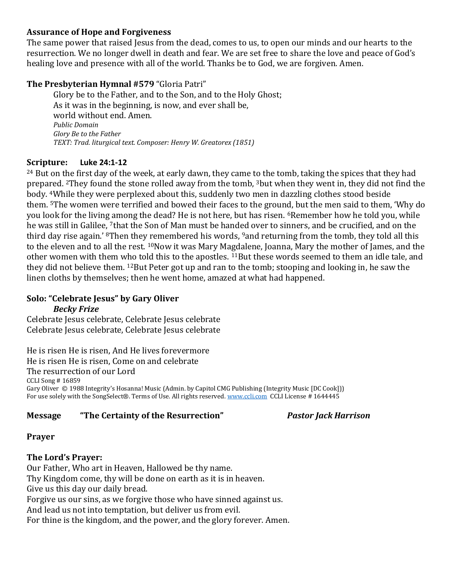#### **Assurance of Hope and Forgiveness**

The same power that raised Jesus from the dead, comes to us, to open our minds and our hearts to the resurrection. We no longer dwell in death and fear. We are set free to share the love and peace of God's healing love and presence with all of the world. Thanks be to God, we are forgiven. Amen.

#### **The Presbyterian Hymnal #579**"Gloria Patri"

Glory be to the Father, and to the Son, and to the Holy Ghost;   As it was in the beginning, is now, and ever shall be,   world without end. Amen.   *Public Domain Glory Be to the Father TEXT: Trad. liturgical text. Composer: Henry W. Greatorex (1851)*  

#### **Scripture: Luke 24:1-12**

<sup>24</sup> But on the first day of the week, at early dawn, they came to the tomb, taking the spices that they had prepared. <sup>2</sup>They found the stone rolled away from the tomb, <sup>3</sup>but when they went in, they did not find the body. <sup>4</sup>While they were perplexed about this, suddenly two men in dazzling clothes stood beside them. <sup>5</sup>The women were terrified and bowed their faces to the ground, but the men said to them, 'Why do you look for the living among the dead? He is not here, but has risen. <sup>6</sup>Remember how he told you, while he was still in Galilee, <sup>7</sup>that the Son of Man must be handed over to sinners, and be crucified, and on the third day rise again.' <sup>8</sup>Then they remembered his words, <sup>9</sup>and returning from the tomb, they told all this to the eleven and to all the rest. <sup>10</sup>Now it was Mary Magdalene, Joanna, Mary the mother of James, and the other women with them who told this to the apostles. <sup>11</sup>But these words seemed to them an idle tale, and they did not believe them. <sup>12</sup>But Peter got up and ran to the tomb; stooping and looking in, he saw the linen cloths by themselves; then he went home, amazed at what had happened.

#### **Solo: "Celebrate Jesus" by Gary Oliver**  *Becky Frize*

Celebrate Jesus celebrate, Celebrate Jesus celebrate Celebrate Jesus celebrate, Celebrate Jesus celebrate

He is risen He is risen, And He lives forevermore He is risen He is risen, Come on and celebrate The resurrection of our Lord CCLI Song # 16859 Gary Oliver © 1988 Integrity's Hosanna! Music (Admin. by Capitol CMG Publishing (Integrity Music [DC Cook])) For use solely with the SongSelect®. Terms of Use. All rights reserved[. www.ccli.com](http://www.ccli.com/) CCLI License # 1644445

### **Message "The Certainty of the Resurrection"** *Pastor Jack Harrison*

### **Prayer**

### **The Lord's Prayer:**

Our Father, Who art in Heaven, Hallowed be thy name. Thy Kingdom come, thy will be done on earth as it is in heaven. Give us this day our daily bread. Forgive us our sins, as we forgive those who have sinned against us. And lead us not into temptation, but deliver us from evil. For thine is the kingdom, and the power, and the glory forever. Amen.